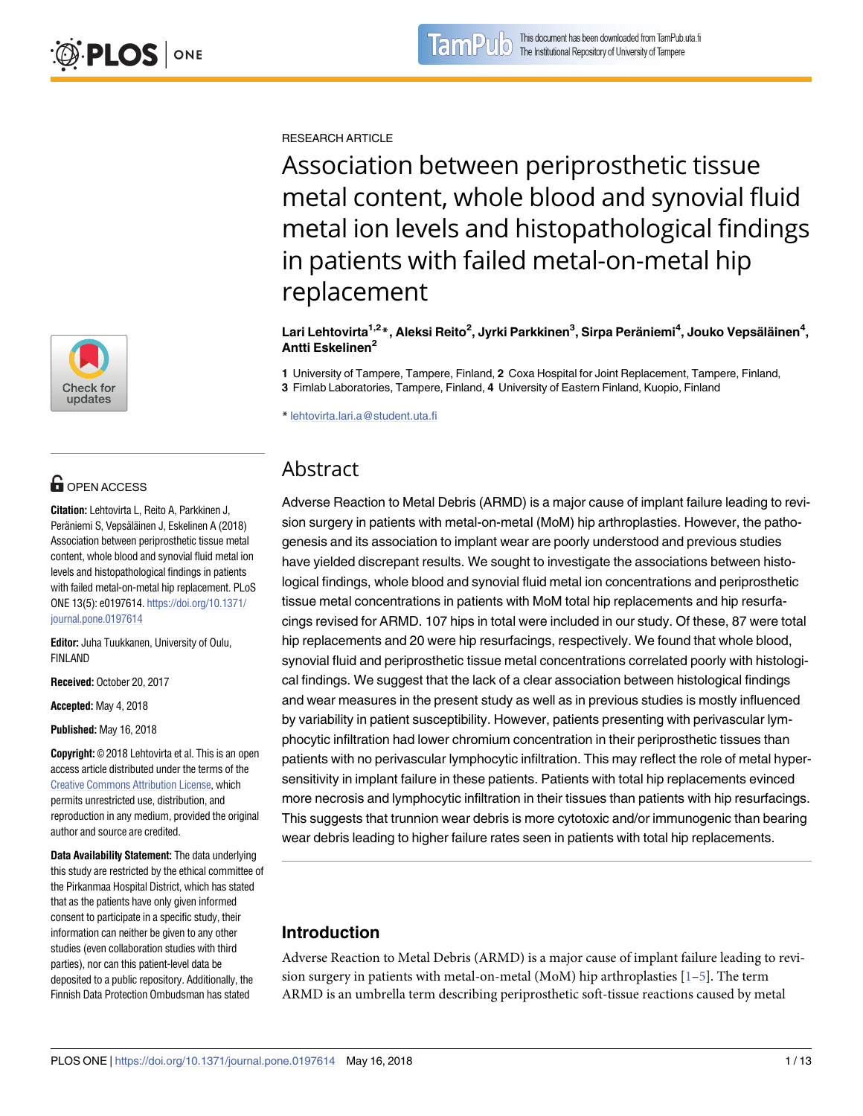

# **OPEN ACCESS**

**Citation:** Lehtovirta L, Reito A, Parkkinen J, Peräniemi S, Vepsäläinen J, Eskelinen A (2018) Association between periprosthetic tissue metal content, whole blood and synovial fluid metal ion levels and histopathological findings in patients with failed metal-on-metal hip replacement. PLoS ONE 13(5): e0197614. [https://doi.org/10.1371/](https://doi.org/10.1371/journal.pone.0197614) [journal.pone.0197614](https://doi.org/10.1371/journal.pone.0197614)

**Editor:** Juha Tuukkanen, University of Oulu, FINLAND

**Received:** October 20, 2017

**Accepted:** May 4, 2018

**Published:** May 16, 2018

**Copyright:** © 2018 Lehtovirta et al. This is an open access article distributed under the terms of the [Creative Commons Attribution License,](http://creativecommons.org/licenses/by/4.0/) which permits unrestricted use, distribution, and reproduction in any medium, provided the original author and source are credited.

**Data Availability Statement:** The data underlying this study are restricted by the ethical committee of the Pirkanmaa Hospital District, which has stated that as the patients have only given informed consent to participate in a specific study, their information can neither be given to any other studies (even collaboration studies with third parties), nor can this patient-level data be deposited to a public repository. Additionally, the Finnish Data Protection Ombudsman has stated

<span id="page-0-0"></span>RESEARCH ARTICLE

Association between periprosthetic tissue metal content, whole blood and synovial fluid metal ion levels and histopathological findings in patients with failed metal-on-metal hip replacement

### $\mathsf{L}$ ari Lehtovirta<sup>1,2</sup>\*, Aleksi Reito<sup>2</sup>, Jyrki Parkkinen<sup>3</sup>, Sirpa Peräniemi<sup>4</sup>, Jouko Vepsäläinen<sup>4</sup>, **Antti Eskelinen2**

**1** University of Tampere, Tampere, Finland, **2** Coxa Hospital for Joint Replacement, Tampere, Finland, **3** Fimlab Laboratories, Tampere, Finland, **4** University of Eastern Finland, Kuopio, Finland

\* lehtovirta.lari.a@student.uta.fi

## Abstract

Adverse Reaction to Metal Debris (ARMD) is a major cause of implant failure leading to revision surgery in patients with metal-on-metal (MoM) hip arthroplasties. However, the pathogenesis and its association to implant wear are poorly understood and previous studies have yielded discrepant results. We sought to investigate the associations between histological findings, whole blood and synovial fluid metal ion concentrations and periprosthetic tissue metal concentrations in patients with MoM total hip replacements and hip resurfacings revised for ARMD. 107 hips in total were included in our study. Of these, 87 were total hip replacements and 20 were hip resurfacings, respectively. We found that whole blood, synovial fluid and periprosthetic tissue metal concentrations correlated poorly with histological findings. We suggest that the lack of a clear association between histological findings and wear measures in the present study as well as in previous studies is mostly influenced by variability in patient susceptibility. However, patients presenting with perivascular lymphocytic infiltration had lower chromium concentration in their periprosthetic tissues than patients with no perivascular lymphocytic infiltration. This may reflect the role of metal hypersensitivity in implant failure in these patients. Patients with total hip replacements evinced more necrosis and lymphocytic infiltration in their tissues than patients with hip resurfacings. This suggests that trunnion wear debris is more cytotoxic and/or immunogenic than bearing wear debris leading to higher failure rates seen in patients with total hip replacements.

## **Introduction**

Adverse Reaction to Metal Debris (ARMD) is a major cause of implant failure leading to revision surgery in patients with metal-on-metal (MoM) hip arthroplasties  $[1-5]$ . The term ARMD is an umbrella term describing periprosthetic soft-tissue reactions caused by metal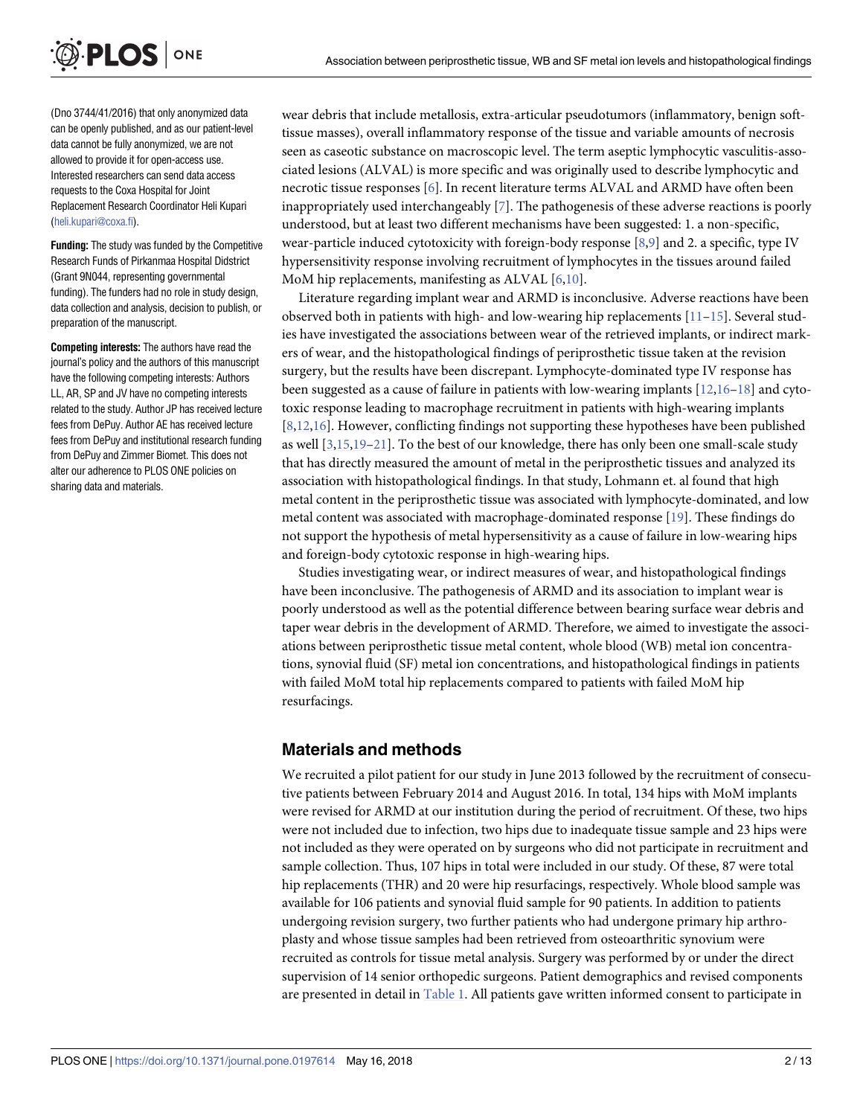<span id="page-1-0"></span>**PLOS**I ONE

(Dno 3744/41/2016) that only anonymized data can be openly published, and as our patient-level data cannot be fully anonymized, we are not allowed to provide it for open-access use. Interested researchers can send data access requests to the Coxa Hospital for Joint Replacement Research Coordinator Heli Kupari [\(heli.kupari@coxa.fi](mailto:heli.kupari@coxa.fi)).

**Funding:** The study was funded by the Competitive Research Funds of Pirkanmaa Hospital Didstrict (Grant 9N044, representing governmental funding). The funders had no role in study design, data collection and analysis, decision to publish, or preparation of the manuscript.

**Competing interests:** The authors have read the journal's policy and the authors of this manuscript have the following competing interests: Authors LL, AR, SP and JV have no competing interests related to the study. Author JP has received lecture fees from DePuy. Author AE has received lecture fees from DePuy and institutional research funding from DePuy and Zimmer Biomet. This does not alter our adherence to PLOS ONE policies on sharing data and materials.

wear debris that include metallosis, extra-articular pseudotumors (inflammatory, benign softtissue masses), overall inflammatory response of the tissue and variable amounts of necrosis seen as caseotic substance on macroscopic level. The term aseptic lymphocytic vasculitis-associated lesions (ALVAL) is more specific and was originally used to describe lymphocytic and necrotic tissue responses [[6\]](#page-10-0). In recent literature terms ALVAL and ARMD have often been inappropriately used interchangeably [[7\]](#page-10-0). The pathogenesis of these adverse reactions is poorly understood, but at least two different mechanisms have been suggested: 1. a non-specific, wear-particle induced cytotoxicity with foreign-body response [\[8,9\]](#page-10-0) and 2. a specific, type IV hypersensitivity response involving recruitment of lymphocytes in the tissues around failed MoM hip replacements, manifesting as ALVAL [\[6,10\]](#page-10-0).

Literature regarding implant wear and ARMD is inconclusive. Adverse reactions have been observed both in patients with high- and low-wearing hip replacements  $[11-15]$  $[11-15]$  $[11-15]$ . Several studies have investigated the associations between wear of the retrieved implants, or indirect markers of wear, and the histopathological findings of periprosthetic tissue taken at the revision surgery, but the results have been discrepant. Lymphocyte-dominated type IV response has been suggested as a cause of failure in patients with low-wearing implants [[12](#page-10-0),[16–18\]](#page-11-0) and cytotoxic response leading to macrophage recruitment in patients with high-wearing implants [\[8,12](#page-10-0)[,16\]](#page-11-0). However, conflicting findings not supporting these hypotheses have been published as well [[3,](#page-10-0)[15](#page-11-0),[19–21\]](#page-11-0). To the best of our knowledge, there has only been one small-scale study that has directly measured the amount of metal in the periprosthetic tissues and analyzed its association with histopathological findings. In that study, Lohmann et. al found that high metal content in the periprosthetic tissue was associated with lymphocyte-dominated, and low metal content was associated with macrophage-dominated response [[19](#page-11-0)]. These findings do not support the hypothesis of metal hypersensitivity as a cause of failure in low-wearing hips and foreign-body cytotoxic response in high-wearing hips.

Studies investigating wear, or indirect measures of wear, and histopathological findings have been inconclusive. The pathogenesis of ARMD and its association to implant wear is poorly understood as well as the potential difference between bearing surface wear debris and taper wear debris in the development of ARMD. Therefore, we aimed to investigate the associations between periprosthetic tissue metal content, whole blood (WB) metal ion concentrations, synovial fluid (SF) metal ion concentrations, and histopathological findings in patients with failed MoM total hip replacements compared to patients with failed MoM hip resurfacings.

## **Materials and methods**

We recruited a pilot patient for our study in June 2013 followed by the recruitment of consecutive patients between February 2014 and August 2016. In total, 134 hips with MoM implants were revised for ARMD at our institution during the period of recruitment. Of these, two hips were not included due to infection, two hips due to inadequate tissue sample and 23 hips were not included as they were operated on by surgeons who did not participate in recruitment and sample collection. Thus, 107 hips in total were included in our study. Of these, 87 were total hip replacements (THR) and 20 were hip resurfacings, respectively. Whole blood sample was available for 106 patients and synovial fluid sample for 90 patients. In addition to patients undergoing revision surgery, two further patients who had undergone primary hip arthroplasty and whose tissue samples had been retrieved from osteoarthritic synovium were recruited as controls for tissue metal analysis. Surgery was performed by or under the direct supervision of 14 senior orthopedic surgeons. Patient demographics and revised components are presented in detail in [Table](#page-2-0) 1. All patients gave written informed consent to participate in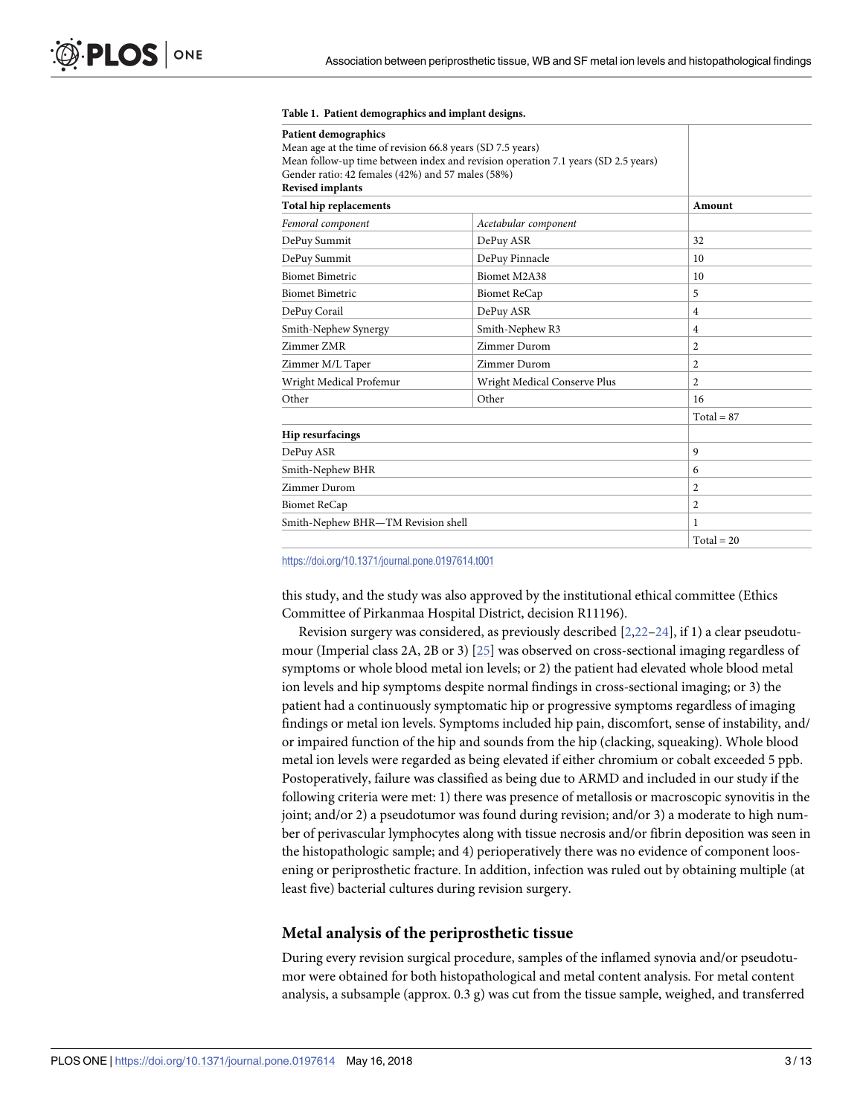#### <span id="page-2-0"></span>**[Table](#page-1-0) 1. Patient demographics and implant designs.**

| <b>Patient demographics</b>                                                       |                              |                |
|-----------------------------------------------------------------------------------|------------------------------|----------------|
| Mean age at the time of revision 66.8 years (SD 7.5 years)                        |                              |                |
| Mean follow-up time between index and revision operation 7.1 years (SD 2.5 years) |                              |                |
| Gender ratio: 42 females (42%) and 57 males (58%)                                 |                              |                |
| <b>Revised implants</b>                                                           |                              |                |
| Total hip replacements                                                            |                              | Amount         |
| Femoral component                                                                 | Acetabular component         |                |
| DePuy Summit                                                                      | DePuy ASR                    | 32             |
| DePuy Summit                                                                      | DePuy Pinnacle               | 10             |
| <b>Biomet Bimetric</b>                                                            | Biomet M2A38                 | 10             |
| <b>Biomet Bimetric</b>                                                            | <b>Biomet ReCap</b>          | 5              |
| DePuy Corail                                                                      | DePuy ASR                    | 4              |
| Smith-Nephew Synergy                                                              | Smith-Nephew R3              | $\overline{4}$ |
| Zimmer ZMR                                                                        | Zimmer Durom                 | $\overline{c}$ |
| Zimmer M/L Taper                                                                  | Zimmer Durom                 | $\overline{c}$ |
| Wright Medical Profemur                                                           | Wright Medical Conserve Plus | $\overline{c}$ |
| Other                                                                             | Other                        | 16             |
|                                                                                   |                              | $Total = 87$   |
| <b>Hip resurfacings</b>                                                           |                              |                |
| DePuy ASR                                                                         | 9                            |                |
| Smith-Nephew BHR                                                                  | 6                            |                |
| Zimmer Durom                                                                      | $\overline{c}$               |                |
| <b>Biomet ReCap</b>                                                               | $\overline{c}$               |                |
| Smith-Nephew BHR-TM Revision shell                                                | 1                            |                |
|                                                                                   |                              | $Total = 20$   |

<https://doi.org/10.1371/journal.pone.0197614.t001>

this study, and the study was also approved by the institutional ethical committee (Ethics Committee of Pirkanmaa Hospital District, decision R11196).

Revision surgery was considered, as previously described  $[2,22-24]$  $[2,22-24]$  $[2,22-24]$ , if 1) a clear pseudotumour (Imperial class 2A, 2B or 3) [\[25\]](#page-11-0) was observed on cross-sectional imaging regardless of symptoms or whole blood metal ion levels; or 2) the patient had elevated whole blood metal ion levels and hip symptoms despite normal findings in cross-sectional imaging; or 3) the patient had a continuously symptomatic hip or progressive symptoms regardless of imaging findings or metal ion levels. Symptoms included hip pain, discomfort, sense of instability, and/ or impaired function of the hip and sounds from the hip (clacking, squeaking). Whole blood metal ion levels were regarded as being elevated if either chromium or cobalt exceeded 5 ppb. Postoperatively, failure was classified as being due to ARMD and included in our study if the following criteria were met: 1) there was presence of metallosis or macroscopic synovitis in the joint; and/or 2) a pseudotumor was found during revision; and/or 3) a moderate to high number of perivascular lymphocytes along with tissue necrosis and/or fibrin deposition was seen in the histopathologic sample; and 4) perioperatively there was no evidence of component loosening or periprosthetic fracture. In addition, infection was ruled out by obtaining multiple (at least five) bacterial cultures during revision surgery.

### **Metal analysis of the periprosthetic tissue**

During every revision surgical procedure, samples of the inflamed synovia and/or pseudotumor were obtained for both histopathological and metal content analysis. For metal content analysis, a subsample (approx. 0.3 g) was cut from the tissue sample, weighed, and transferred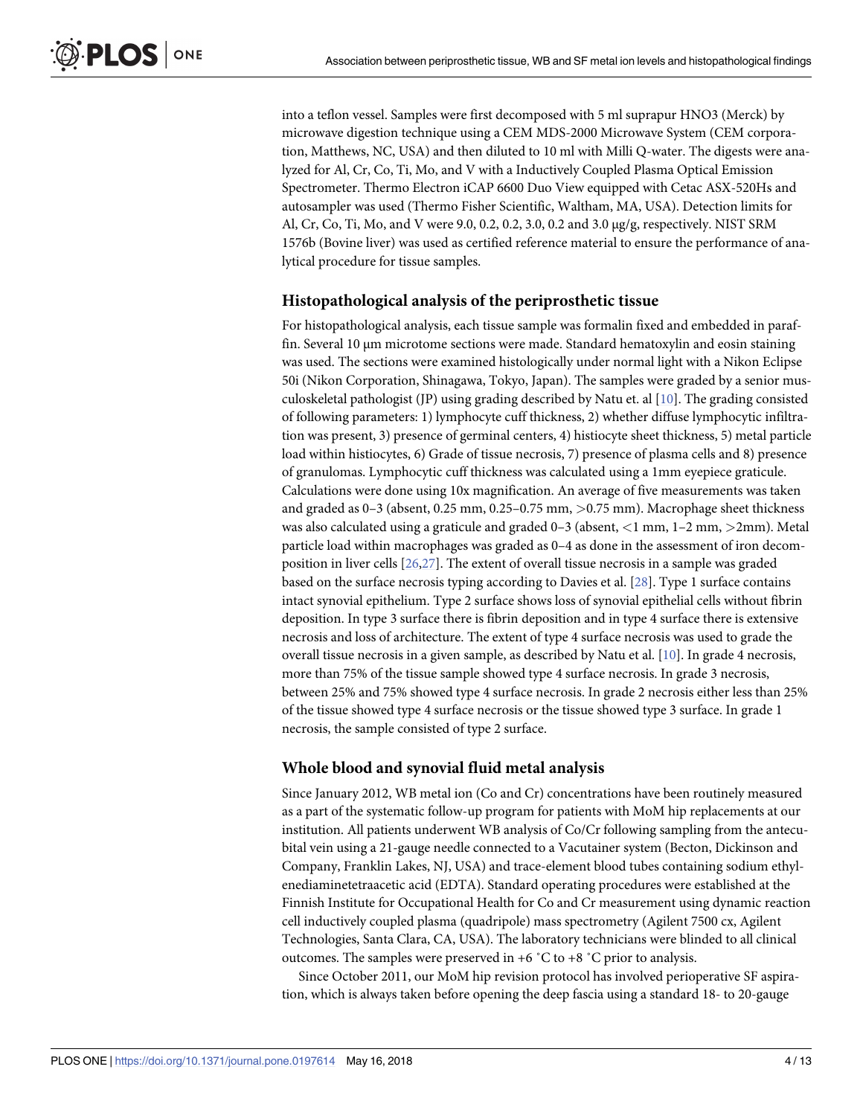<span id="page-3-0"></span>into a teflon vessel. Samples were first decomposed with 5 ml suprapur HNO3 (Merck) by microwave digestion technique using a CEM MDS-2000 Microwave System (CEM corporation, Matthews, NC, USA) and then diluted to 10 ml with Milli Q-water. The digests were analyzed for Al, Cr, Co, Ti, Mo, and V with a Inductively Coupled Plasma Optical Emission Spectrometer. Thermo Electron iCAP 6600 Duo View equipped with Cetac ASX-520Hs and autosampler was used (Thermo Fisher Scientific, Waltham, MA, USA). Detection limits for Al, Cr, Co, Ti, Mo, and V were 9.0, 0.2, 0.2, 3.0, 0.2 and 3.0 μg/g, respectively. NIST SRM 1576b (Bovine liver) was used as certified reference material to ensure the performance of analytical procedure for tissue samples.

### **Histopathological analysis of the periprosthetic tissue**

For histopathological analysis, each tissue sample was formalin fixed and embedded in paraffin. Several 10 μm microtome sections were made. Standard hematoxylin and eosin staining was used. The sections were examined histologically under normal light with a Nikon Eclipse 50i (Nikon Corporation, Shinagawa, Tokyo, Japan). The samples were graded by a senior musculoskeletal pathologist (JP) using grading described by Natu et. al [\[10\]](#page-10-0). The grading consisted of following parameters: 1) lymphocyte cuff thickness, 2) whether diffuse lymphocytic infiltration was present, 3) presence of germinal centers, 4) histiocyte sheet thickness, 5) metal particle load within histiocytes, 6) Grade of tissue necrosis, 7) presence of plasma cells and 8) presence of granulomas. Lymphocytic cuff thickness was calculated using a 1mm eyepiece graticule. Calculations were done using 10x magnification. An average of five measurements was taken and graded as 0–3 (absent, 0.25 mm, 0.25–0.75 mm, *>*0.75 mm). Macrophage sheet thickness was also calculated using a graticule and graded 0–3 (absent, *<*1 mm, 1–2 mm, *>*2mm). Metal particle load within macrophages was graded as 0–4 as done in the assessment of iron decomposition in liver cells [[26](#page-11-0),[27\]](#page-11-0). The extent of overall tissue necrosis in a sample was graded based on the surface necrosis typing according to Davies et al. [\[28\]](#page-11-0). Type 1 surface contains intact synovial epithelium. Type 2 surface shows loss of synovial epithelial cells without fibrin deposition. In type 3 surface there is fibrin deposition and in type 4 surface there is extensive necrosis and loss of architecture. The extent of type 4 surface necrosis was used to grade the overall tissue necrosis in a given sample, as described by Natu et al. [\[10\]](#page-10-0). In grade 4 necrosis, more than 75% of the tissue sample showed type 4 surface necrosis. In grade 3 necrosis, between 25% and 75% showed type 4 surface necrosis. In grade 2 necrosis either less than 25% of the tissue showed type 4 surface necrosis or the tissue showed type 3 surface. In grade 1 necrosis, the sample consisted of type 2 surface.

### **Whole blood and synovial fluid metal analysis**

Since January 2012, WB metal ion (Co and Cr) concentrations have been routinely measured as a part of the systematic follow-up program for patients with MoM hip replacements at our institution. All patients underwent WB analysis of Co/Cr following sampling from the antecubital vein using a 21-gauge needle connected to a Vacutainer system (Becton, Dickinson and Company, Franklin Lakes, NJ, USA) and trace-element blood tubes containing sodium ethylenediaminetetraacetic acid (EDTA). Standard operating procedures were established at the Finnish Institute for Occupational Health for Co and Cr measurement using dynamic reaction cell inductively coupled plasma (quadripole) mass spectrometry (Agilent 7500 cx, Agilent Technologies, Santa Clara, CA, USA). The laboratory technicians were blinded to all clinical outcomes. The samples were preserved in  $+6$  °C to  $+8$  °C prior to analysis.

Since October 2011, our MoM hip revision protocol has involved perioperative SF aspiration, which is always taken before opening the deep fascia using a standard 18- to 20-gauge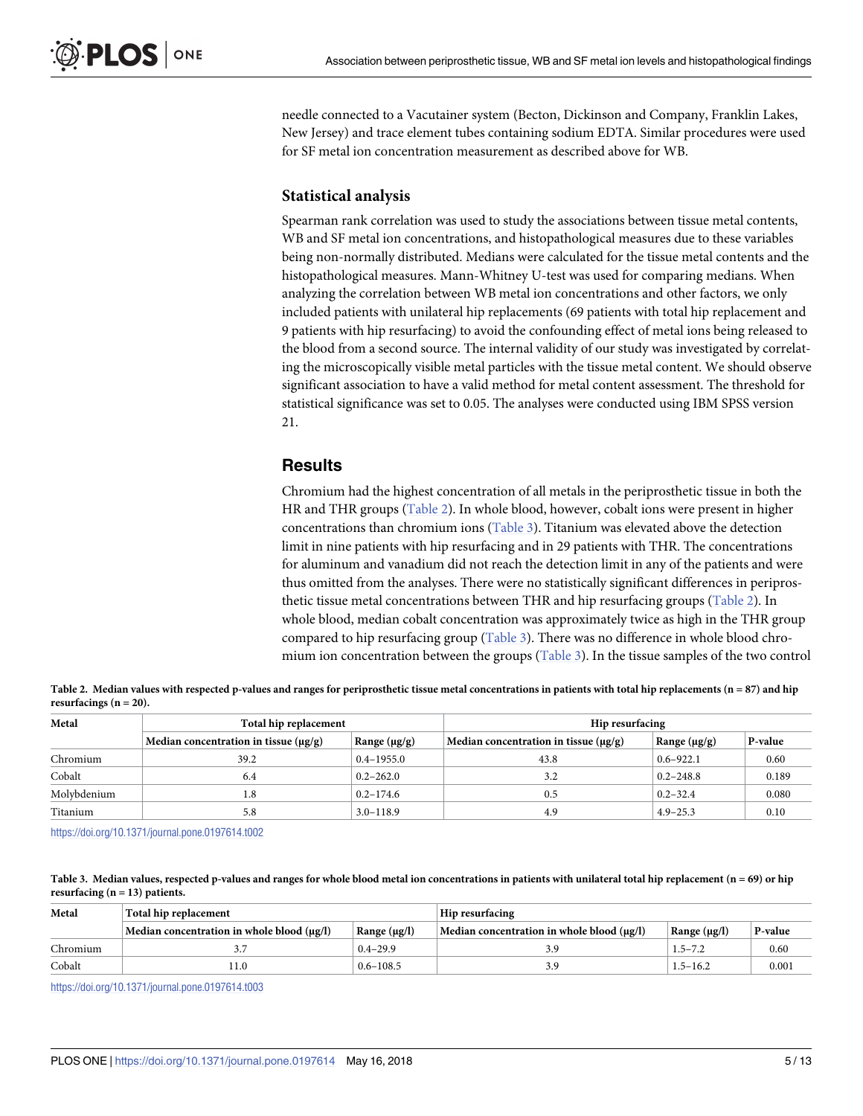needle connected to a Vacutainer system (Becton, Dickinson and Company, Franklin Lakes, New Jersey) and trace element tubes containing sodium EDTA. Similar procedures were used for SF metal ion concentration measurement as described above for WB.

### **Statistical analysis**

Spearman rank correlation was used to study the associations between tissue metal contents, WB and SF metal ion concentrations, and histopathological measures due to these variables being non-normally distributed. Medians were calculated for the tissue metal contents and the histopathological measures. Mann-Whitney U-test was used for comparing medians. When analyzing the correlation between WB metal ion concentrations and other factors, we only included patients with unilateral hip replacements (69 patients with total hip replacement and 9 patients with hip resurfacing) to avoid the confounding effect of metal ions being released to the blood from a second source. The internal validity of our study was investigated by correlating the microscopically visible metal particles with the tissue metal content. We should observe significant association to have a valid method for metal content assessment. The threshold for statistical significance was set to 0.05. The analyses were conducted using IBM SPSS version 21.

### **Results**

Chromium had the highest concentration of all metals in the periprosthetic tissue in both the HR and THR groups (Table 2). In whole blood, however, cobalt ions were present in higher concentrations than chromium ions (Table 3). Titanium was elevated above the detection limit in nine patients with hip resurfacing and in 29 patients with THR. The concentrations for aluminum and vanadium did not reach the detection limit in any of the patients and were thus omitted from the analyses. There were no statistically significant differences in periprosthetic tissue metal concentrations between THR and hip resurfacing groups (Table 2). In whole blood, median cobalt concentration was approximately twice as high in the THR group compared to hip resurfacing group (Table 3). There was no difference in whole blood chromium ion concentration between the groups (Table 3). In the tissue samples of the two control

Table 2. Median values with respected p-values and ranges for periprosthetic tissue metal concentrations in patients with total hip replacements  $(n = 87)$  and hip **resurfacings (n = 20).**

| Metal       | Total hip replacement                      |                   | <b>Hip resurfacing</b>                     |                   |         |
|-------------|--------------------------------------------|-------------------|--------------------------------------------|-------------------|---------|
|             | Median concentration in tissue $(\mu g/g)$ | Range $(\mu g/g)$ | Median concentration in tissue $(\mu g/g)$ | Range $(\mu g/g)$ | P-value |
| Chromium    | 39.2                                       | $0.4 - 1955.0$    | 43.8                                       | $ 0.6 - 922.1$    | 0.60    |
| Cobalt      | 6.4                                        | $0.2 - 262.0$     | 3.2                                        | $0.2 - 248.8$     | 0.189   |
| Molybdenium | 1.8                                        | $0.2 - 174.6$     | 0.5                                        | $0.2 - 32.4$      | 0.080   |
| Titanium    | 5.8                                        | $3.0 - 118.9$     | 4.9                                        | $4.9 - 25.3$      | 0.10    |

<https://doi.org/10.1371/journal.pone.0197614.t002>

Table 3. Median values, respected p-values and ranges for whole blood metal ion concentrations in patients with unilateral total hip replacement ( $n = 69$ ) or hip **resurfacing (n = 13) patients.**

| Metal    | Total hip replacement                      |               | Hip resurfacing                            |                   |         |  |
|----------|--------------------------------------------|---------------|--------------------------------------------|-------------------|---------|--|
|          | Median concentration in whole blood (µg/l) | Range (µg/l)  | Median concentration in whole blood (µg/l) | Range $(\mu g/l)$ | P-value |  |
| Chromium |                                            | $0.4 - 29.9$  | 3 Q                                        | 1.5–7.2           | 0.60    |  |
| Cobalt   | 1.0                                        | $0.6 - 108.5$ | 3.9                                        | $1.5 - 16.2$      | 0.001   |  |

<https://doi.org/10.1371/journal.pone.0197614.t003>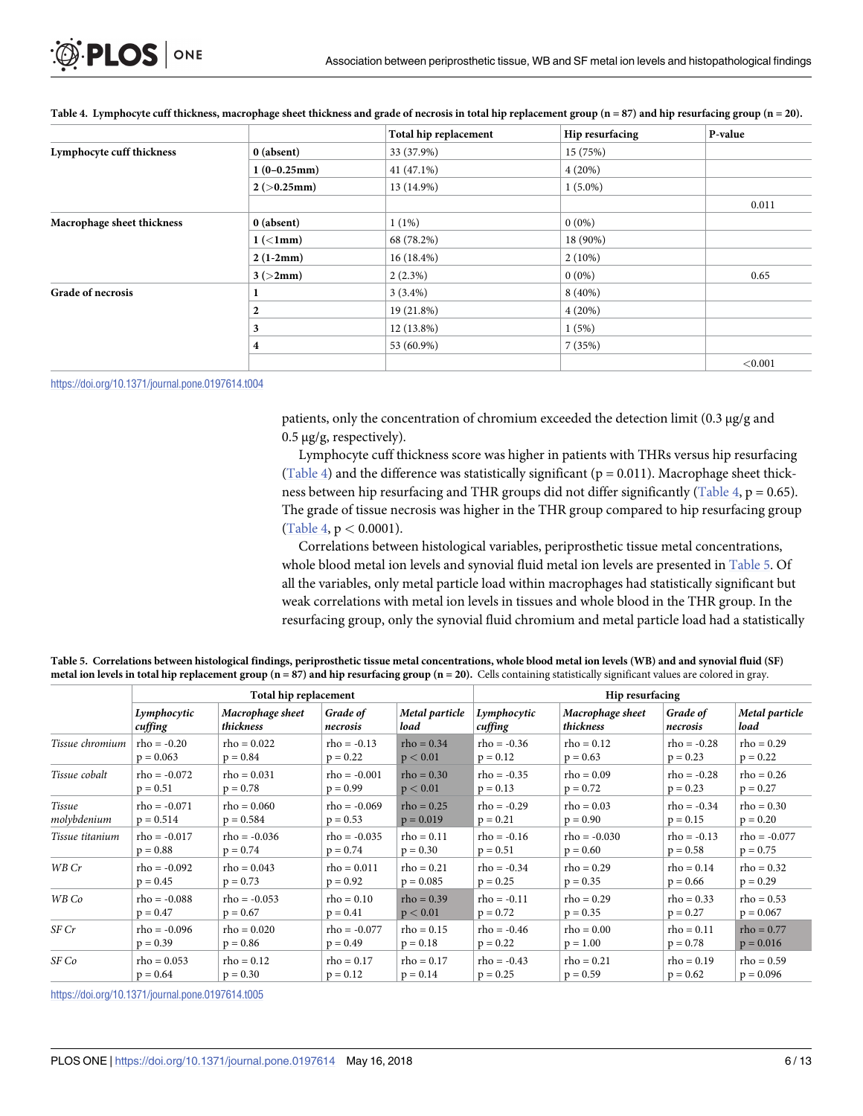|                            |                      | Total hip replacement | Hip resurfacing | P-value |
|----------------------------|----------------------|-----------------------|-----------------|---------|
| Lymphocyte cuff thickness  | $0$ (absent)         | 33 (37.9%)            | 15 (75%)        |         |
|                            | $1(0-0.25mm)$        | 41 (47.1%)            | 4(20%)          |         |
|                            | 2 (>0.25mm)          | 13 (14.9%)            | $1(5.0\%)$      |         |
|                            |                      |                       |                 | 0.011   |
| Macrophage sheet thickness | $0$ (absent)         | $1(1\%)$              | $0(0\%)$        |         |
|                            | $1$ ( $\langle$ 1mm) | 68 (78.2%)            | 18 (90%)        |         |
|                            | $2(1-2mm)$           | $16(18.4\%)$          | $2(10\%)$       |         |
|                            | 3 (>2mm)             | $2(2.3\%)$            | $0(0\%)$        | 0.65    |
| <b>Grade of necrosis</b>   |                      | $3(3.4\%)$            | $8(40\%)$       |         |
|                            | $\mathbf{2}$         | 19 (21.8%)            | 4(20%)          |         |
|                            | 3                    | 12 (13.8%)            | 1(5%)           |         |
|                            | 4                    | 53 (60.9%)            | 7(35%)          |         |
|                            |                      |                       |                 | < 0.001 |

Table 4. Lymphocyte cuff thickness, macrophage sheet thickness and grade of necrosis in total hip replacement group ( $n = 87$ ) and hip resurfacing group ( $n = 20$ ).

<https://doi.org/10.1371/journal.pone.0197614.t004>

patients, only the concentration of chromium exceeded the detection limit  $(0.3 \mu g/g$  and 0.5 μg/g, respectively).

Lymphocyte cuff thickness score was higher in patients with THRs versus hip resurfacing (Table 4) and the difference was statistically significant ( $p = 0.011$ ). Macrophage sheet thickness between hip resurfacing and THR groups did not differ significantly (Table 4,  $p = 0.65$ ). The grade of tissue necrosis was higher in the THR group compared to hip resurfacing group (Table 4, p *<* 0.0001).

Correlations between histological variables, periprosthetic tissue metal concentrations, whole blood metal ion levels and synovial fluid metal ion levels are presented in Table 5. Of all the variables, only metal particle load within macrophages had statistically significant but weak correlations with metal ion levels in tissues and whole blood in the THR group. In the resurfacing group, only the synovial fluid chromium and metal particle load had a statistically

|                 | Total hip replacement |                  |                |                | Hip resurfacing |                  |               |                |
|-----------------|-----------------------|------------------|----------------|----------------|-----------------|------------------|---------------|----------------|
|                 | Lymphocytic           | Macrophage sheet | Grade of       | Metal particle | Lymphocytic     | Macrophage sheet | Grade of      | Metal particle |
|                 | cuffing               | thickness        | necrosis       | load           | cuffing         | thickness        | necrosis      | load           |
| Tissue chromium | $rho = -0.20$         | $rho = 0.022$    | $rho = -0.13$  | $rho = 0.34$   | $rho = -0.36$   | $rho = 0.12$     | $rho = -0.28$ | $rho = 0.29$   |
|                 | $p = 0.063$           | $p = 0.84$       | $p = 0.22$     | p < 0.01       | $p = 0.12$      | $p = 0.63$       | $p = 0.23$    | $p = 0.22$     |
| Tissue cobalt   | $rho = -0.072$        | $rho = 0.031$    | $rho = -0.001$ | $rho = 0.30$   | $rho = -0.35$   | $rho = 0.09$     | $rho = -0.28$ | $rho = 0.26$   |
|                 | $p = 0.51$            | $p = 0.78$       | $p = 0.99$     | p < 0.01       | $p = 0.13$      | $p = 0.72$       | $p = 0.23$    | $p = 0.27$     |
| Tissue          | $rho = -0.071$        | $rho = 0.060$    | $rho = -0.069$ | $rho = 0.25$   | $rho = -0.29$   | $rho = 0.03$     | $rho = -0.34$ | $rho = 0.30$   |
| molybdenium     | $p = 0.514$           | $p = 0.584$      | $p = 0.53$     | $p = 0.019$    | $p = 0.21$      | $p = 0.90$       | $p = 0.15$    | $p = 0.20$     |
| Tissue titanium | $rho = -0.017$        | $rho = -0.036$   | $rho = -0.035$ | $rho = 0.11$   | $rho = -0.16$   | $rho = -0.030$   | $rho = -0.13$ | $rho = -0.077$ |
|                 | $p = 0.88$            | $p = 0.74$       | $p = 0.74$     | $p = 0.30$     | $p = 0.51$      | $p = 0.60$       | $p = 0.58$    | $p = 0.75$     |
| WB Cr           | $rho = -0.092$        | $rho = 0.043$    | $rho = 0.011$  | $rho = 0.21$   | $rho = -0.34$   | $rho = 0.29$     | $rho = 0.14$  | $rho = 0.32$   |
|                 | $p = 0.45$            | $p = 0.73$       | $p = 0.92$     | $p = 0.085$    | $p = 0.25$      | $p = 0.35$       | $p = 0.66$    | $p = 0.29$     |
| WB Co           | $rho = -0.088$        | $rho = -0.053$   | $rho = 0.10$   | $rho = 0.39$   | $rho = -0.11$   | $rho = 0.29$     | $rho = 0.33$  | $rho = 0.53$   |
|                 | $p = 0.47$            | $p = 0.67$       | $p = 0.41$     | p < 0.01       | $p = 0.72$      | $p = 0.35$       | $p = 0.27$    | $p = 0.067$    |
| SF Cr           | $rho = -0.096$        | $rho = 0.020$    | $rho = -0.077$ | $rho = 0.15$   | $rho = -0.46$   | $rho = 0.00$     | $rho = 0.11$  | $rho = 0.77$   |
|                 | $p = 0.39$            | $p = 0.86$       | $p = 0.49$     | $p = 0.18$     | $p = 0.22$      | $p = 1.00$       | $p = 0.78$    | $p = 0.016$    |
| SF Co           | $rho = 0.053$         | $rho = 0.12$     | $rho = 0.17$   | $rho = 0.17$   | $rho = -0.43$   | $rho = 0.21$     | $rho = 0.19$  | $rho = 0.59$   |
|                 | $p = 0.64$            | $p = 0.30$       | $p = 0.12$     | $p = 0.14$     | $p = 0.25$      | $p = 0.59$       | $p = 0.62$    | $p = 0.096$    |

Table 5. Correlations between histological findings, periprosthetic tissue metal concentrations, whole blood metal ion levels (WB) and and synovial fluid (SF) metal ion levels in total hip replacement group ( $n = 87$ ) and hip resurfacing group ( $n = 20$ ). Cells containing statistically significant values are colored in gray.

<https://doi.org/10.1371/journal.pone.0197614.t005>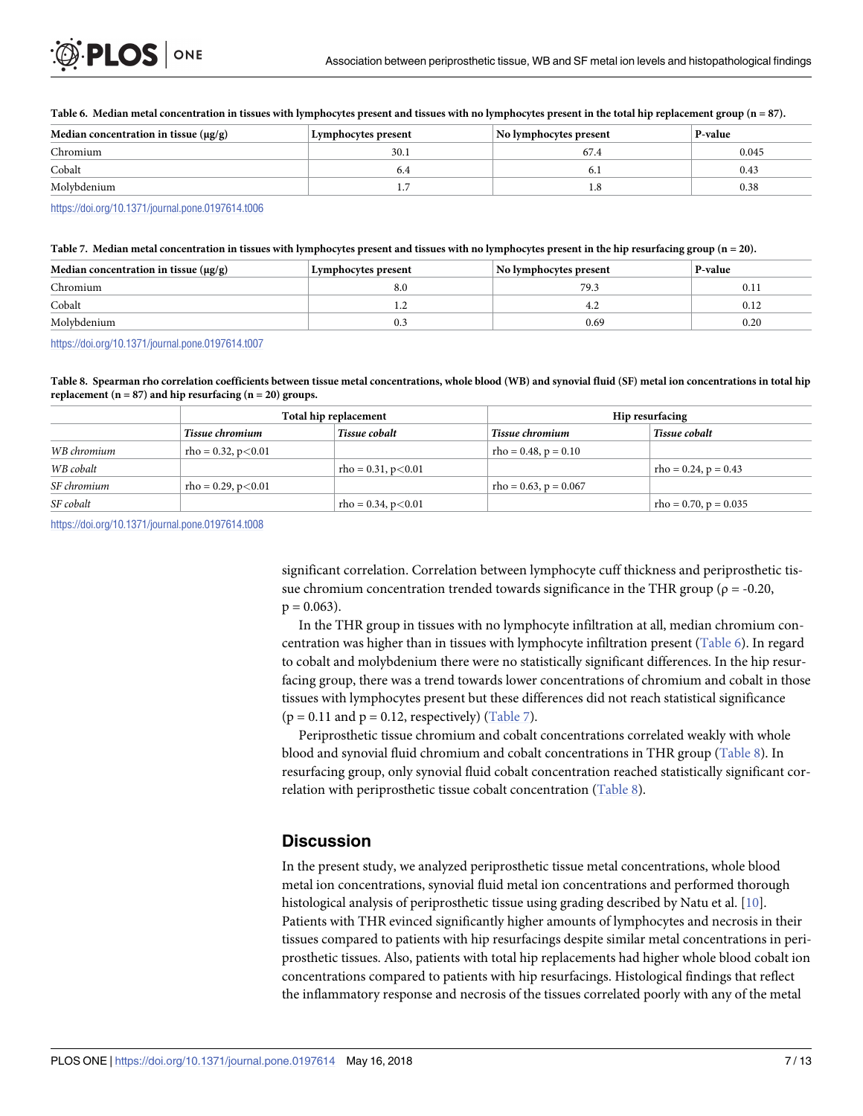#### Table 6. Median metal concentration in tissues with lymphocytes present and tissues with no lymphocytes present in the total hip replacement group ( $n = 87$ ).

| Median concentration in tissue $(\mu g/g)$ | Lymphocytes present | $\vert$ No lymphocytes present | P-value |
|--------------------------------------------|---------------------|--------------------------------|---------|
| Chromium                                   | 30.1                | 67.4                           | 0.045   |
| Cobalt                                     | 6.4                 | 0.1                            | 0.43    |
| Molvbdenium                                | .                   | 1.0                            | 0.38    |

<https://doi.org/10.1371/journal.pone.0197614.t006>

#### Table 7. Median metal concentration in tissues with lymphocytes present and tissues with no lymphocytes present in the hip resurfacing group ( $n = 20$ ).

| Median concentration in tissue (µg/g) | Lymphocytes present | No lymphocytes present | P-value |  |
|---------------------------------------|---------------------|------------------------|---------|--|
| Chromium                              | 8.0                 | 79.3                   | 0.1     |  |
| Cobalt                                | 1.Z                 |                        | 0.12    |  |
| Molvbdenium                           | 0.3                 | 0.69                   | 0.20    |  |

<https://doi.org/10.1371/journal.pone.0197614.t007>

Table 8. Spearman rho correlation coefficients between tissue metal concentrations, whole blood (WB) and synovial fluid (SF) metal ion concentrations in total hip **replacement (n = 87) and hip resurfacing (n = 20) groups.**

|             | Total hip replacement  |                        | Hip resurfacing         |                            |  |
|-------------|------------------------|------------------------|-------------------------|----------------------------|--|
|             | Tissue chromium        | Tissue cobalt          | Tissue chromium         | Tissue cobalt              |  |
| WB chromium | $rho = 0.32, p < 0.01$ |                        | $rho = 0.48, p = 0.10$  |                            |  |
| WB cobalt   |                        | $rho = 0.31, p < 0.01$ |                         | $rho = 0.24$ , $p = 0.43$  |  |
| SF chromium | $rho = 0.29, p < 0.01$ |                        | $rho = 0.63, p = 0.067$ |                            |  |
| SF cobalt   |                        | $rho = 0.34, p < 0.01$ |                         | $rho = 0.70$ , $p = 0.035$ |  |

<https://doi.org/10.1371/journal.pone.0197614.t008>

significant correlation. Correlation between lymphocyte cuff thickness and periprosthetic tissue chromium concentration trended towards significance in the THR group ( $\rho = -0.20$ ,  $p = 0.063$ ).

In the THR group in tissues with no lymphocyte infiltration at all, median chromium concentration was higher than in tissues with lymphocyte infiltration present (Table 6). In regard to cobalt and molybdenium there were no statistically significant differences. In the hip resurfacing group, there was a trend towards lower concentrations of chromium and cobalt in those tissues with lymphocytes present but these differences did not reach statistical significance  $(p = 0.11$  and  $p = 0.12$ , respectively) (Table 7).

Periprosthetic tissue chromium and cobalt concentrations correlated weakly with whole blood and synovial fluid chromium and cobalt concentrations in THR group (Table 8). In resurfacing group, only synovial fluid cobalt concentration reached statistically significant correlation with periprosthetic tissue cobalt concentration (Table 8).

## **Discussion**

In the present study, we analyzed periprosthetic tissue metal concentrations, whole blood metal ion concentrations, synovial fluid metal ion concentrations and performed thorough histological analysis of periprosthetic tissue using grading described by Natu et al. [\[10\]](#page-10-0). Patients with THR evinced significantly higher amounts of lymphocytes and necrosis in their tissues compared to patients with hip resurfacings despite similar metal concentrations in periprosthetic tissues. Also, patients with total hip replacements had higher whole blood cobalt ion concentrations compared to patients with hip resurfacings. Histological findings that reflect the inflammatory response and necrosis of the tissues correlated poorly with any of the metal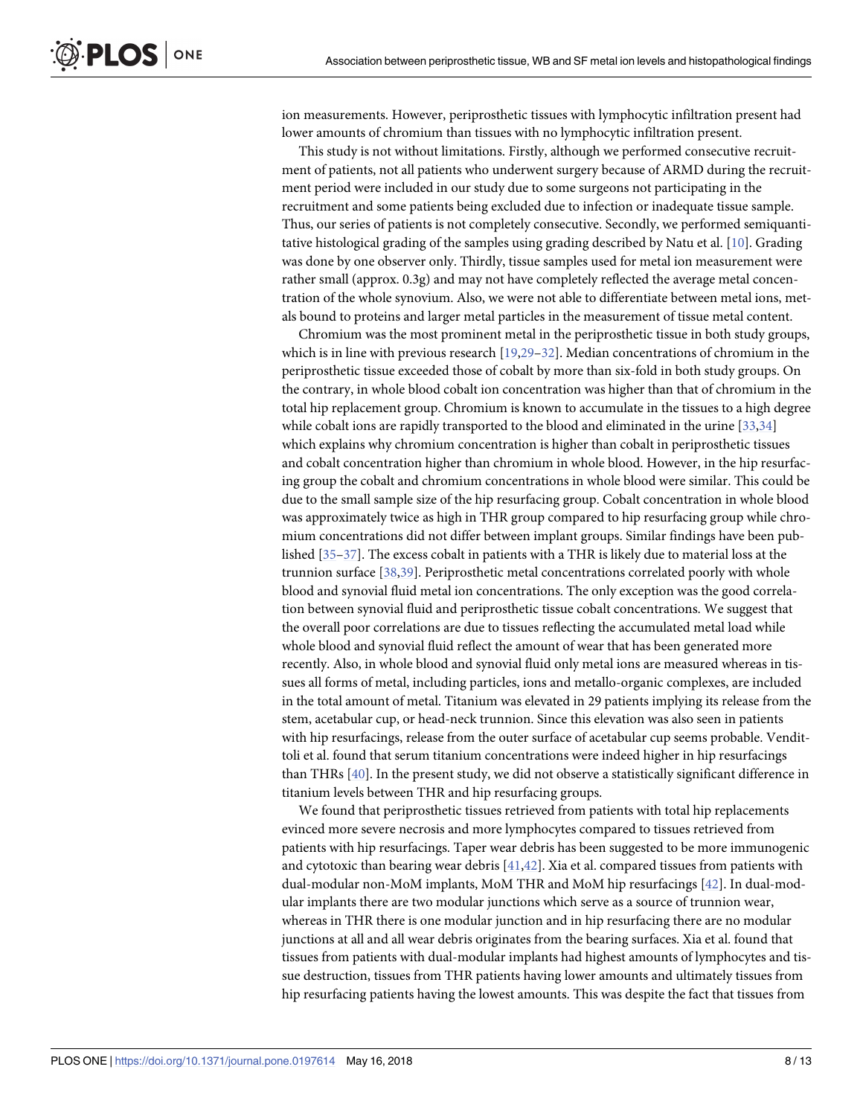<span id="page-7-0"></span>ion measurements. However, periprosthetic tissues with lymphocytic infiltration present had lower amounts of chromium than tissues with no lymphocytic infiltration present.

This study is not without limitations. Firstly, although we performed consecutive recruitment of patients, not all patients who underwent surgery because of ARMD during the recruitment period were included in our study due to some surgeons not participating in the recruitment and some patients being excluded due to infection or inadequate tissue sample. Thus, our series of patients is not completely consecutive. Secondly, we performed semiquantitative histological grading of the samples using grading described by Natu et al. [[10](#page-10-0)]. Grading was done by one observer only. Thirdly, tissue samples used for metal ion measurement were rather small (approx. 0.3g) and may not have completely reflected the average metal concentration of the whole synovium. Also, we were not able to differentiate between metal ions, metals bound to proteins and larger metal particles in the measurement of tissue metal content.

Chromium was the most prominent metal in the periprosthetic tissue in both study groups, which is in line with previous research [[19](#page-11-0),[29–32\]](#page-11-0). Median concentrations of chromium in the periprosthetic tissue exceeded those of cobalt by more than six-fold in both study groups. On the contrary, in whole blood cobalt ion concentration was higher than that of chromium in the total hip replacement group. Chromium is known to accumulate in the tissues to a high degree while cobalt ions are rapidly transported to the blood and eliminated in the urine [[33](#page-11-0),[34](#page-12-0)] which explains why chromium concentration is higher than cobalt in periprosthetic tissues and cobalt concentration higher than chromium in whole blood. However, in the hip resurfacing group the cobalt and chromium concentrations in whole blood were similar. This could be due to the small sample size of the hip resurfacing group. Cobalt concentration in whole blood was approximately twice as high in THR group compared to hip resurfacing group while chromium concentrations did not differ between implant groups. Similar findings have been published [\[35–37](#page-12-0)]. The excess cobalt in patients with a THR is likely due to material loss at the trunnion surface [\[38,39\]](#page-12-0). Periprosthetic metal concentrations correlated poorly with whole blood and synovial fluid metal ion concentrations. The only exception was the good correlation between synovial fluid and periprosthetic tissue cobalt concentrations. We suggest that the overall poor correlations are due to tissues reflecting the accumulated metal load while whole blood and synovial fluid reflect the amount of wear that has been generated more recently. Also, in whole blood and synovial fluid only metal ions are measured whereas in tissues all forms of metal, including particles, ions and metallo-organic complexes, are included in the total amount of metal. Titanium was elevated in 29 patients implying its release from the stem, acetabular cup, or head-neck trunnion. Since this elevation was also seen in patients with hip resurfacings, release from the outer surface of acetabular cup seems probable. Vendittoli et al. found that serum titanium concentrations were indeed higher in hip resurfacings than THRs [[40\]](#page-12-0). In the present study, we did not observe a statistically significant difference in titanium levels between THR and hip resurfacing groups.

We found that periprosthetic tissues retrieved from patients with total hip replacements evinced more severe necrosis and more lymphocytes compared to tissues retrieved from patients with hip resurfacings. Taper wear debris has been suggested to be more immunogenic and cytotoxic than bearing wear debris  $[41,42]$  $[41,42]$ . Xia et al. compared tissues from patients with dual-modular non-MoM implants, MoM THR and MoM hip resurfacings [[42](#page-12-0)]. In dual-modular implants there are two modular junctions which serve as a source of trunnion wear, whereas in THR there is one modular junction and in hip resurfacing there are no modular junctions at all and all wear debris originates from the bearing surfaces. Xia et al. found that tissues from patients with dual-modular implants had highest amounts of lymphocytes and tissue destruction, tissues from THR patients having lower amounts and ultimately tissues from hip resurfacing patients having the lowest amounts. This was despite the fact that tissues from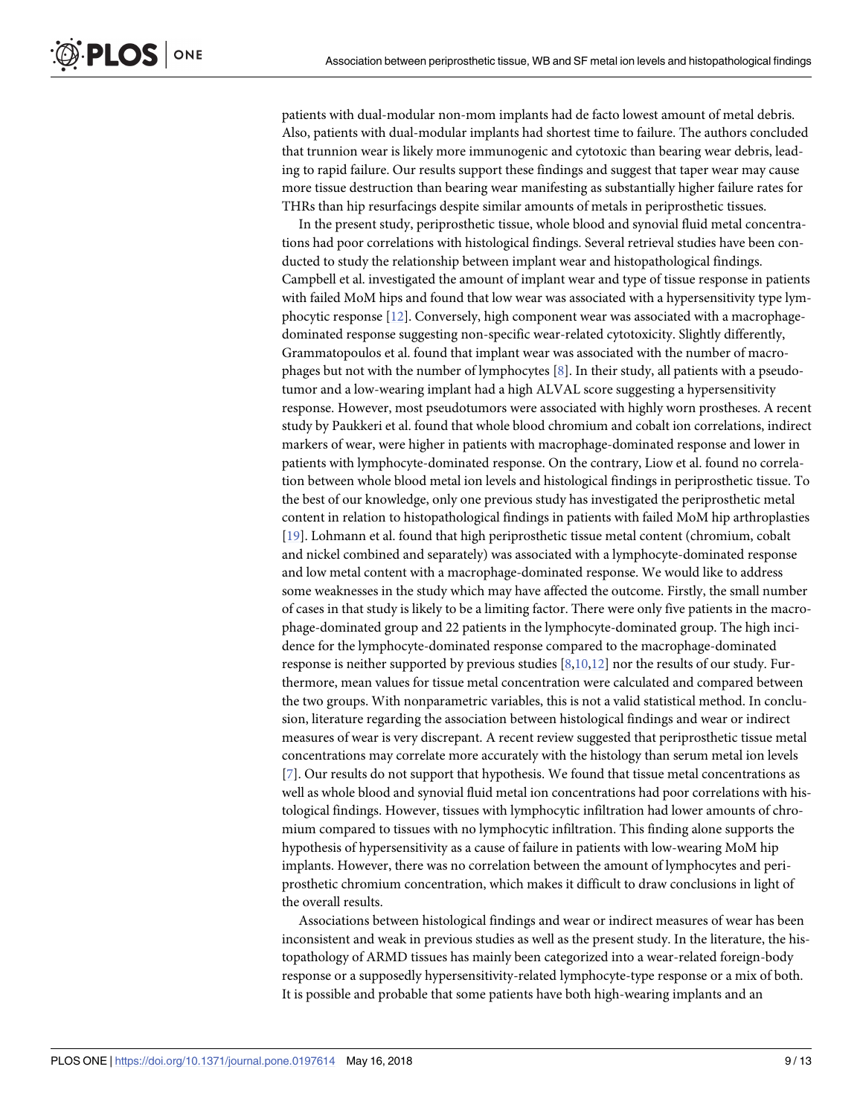patients with dual-modular non-mom implants had de facto lowest amount of metal debris. Also, patients with dual-modular implants had shortest time to failure. The authors concluded that trunnion wear is likely more immunogenic and cytotoxic than bearing wear debris, leading to rapid failure. Our results support these findings and suggest that taper wear may cause more tissue destruction than bearing wear manifesting as substantially higher failure rates for THRs than hip resurfacings despite similar amounts of metals in periprosthetic tissues.

In the present study, periprosthetic tissue, whole blood and synovial fluid metal concentrations had poor correlations with histological findings. Several retrieval studies have been conducted to study the relationship between implant wear and histopathological findings. Campbell et al. investigated the amount of implant wear and type of tissue response in patients with failed MoM hips and found that low wear was associated with a hypersensitivity type lymphocytic response [\[12\]](#page-10-0). Conversely, high component wear was associated with a macrophagedominated response suggesting non-specific wear-related cytotoxicity. Slightly differently, Grammatopoulos et al. found that implant wear was associated with the number of macrophages but not with the number of lymphocytes [[8](#page-10-0)]. In their study, all patients with a pseudotumor and a low-wearing implant had a high ALVAL score suggesting a hypersensitivity response. However, most pseudotumors were associated with highly worn prostheses. A recent study by Paukkeri et al. found that whole blood chromium and cobalt ion correlations, indirect markers of wear, were higher in patients with macrophage-dominated response and lower in patients with lymphocyte-dominated response. On the contrary, Liow et al. found no correlation between whole blood metal ion levels and histological findings in periprosthetic tissue. To the best of our knowledge, only one previous study has investigated the periprosthetic metal content in relation to histopathological findings in patients with failed MoM hip arthroplasties [\[19\]](#page-11-0). Lohmann et al. found that high periprosthetic tissue metal content (chromium, cobalt and nickel combined and separately) was associated with a lymphocyte-dominated response and low metal content with a macrophage-dominated response. We would like to address some weaknesses in the study which may have affected the outcome. Firstly, the small number of cases in that study is likely to be a limiting factor. There were only five patients in the macrophage-dominated group and 22 patients in the lymphocyte-dominated group. The high incidence for the lymphocyte-dominated response compared to the macrophage-dominated response is neither supported by previous studies  $[8,10,12]$  $[8,10,12]$  $[8,10,12]$  $[8,10,12]$  $[8,10,12]$  nor the results of our study. Furthermore, mean values for tissue metal concentration were calculated and compared between the two groups. With nonparametric variables, this is not a valid statistical method. In conclusion, literature regarding the association between histological findings and wear or indirect measures of wear is very discrepant. A recent review suggested that periprosthetic tissue metal concentrations may correlate more accurately with the histology than serum metal ion levels [\[7](#page-10-0)]. Our results do not support that hypothesis. We found that tissue metal concentrations as well as whole blood and synovial fluid metal ion concentrations had poor correlations with histological findings. However, tissues with lymphocytic infiltration had lower amounts of chromium compared to tissues with no lymphocytic infiltration. This finding alone supports the hypothesis of hypersensitivity as a cause of failure in patients with low-wearing MoM hip implants. However, there was no correlation between the amount of lymphocytes and periprosthetic chromium concentration, which makes it difficult to draw conclusions in light of the overall results.

Associations between histological findings and wear or indirect measures of wear has been inconsistent and weak in previous studies as well as the present study. In the literature, the histopathology of ARMD tissues has mainly been categorized into a wear-related foreign-body response or a supposedly hypersensitivity-related lymphocyte-type response or a mix of both. It is possible and probable that some patients have both high-wearing implants and an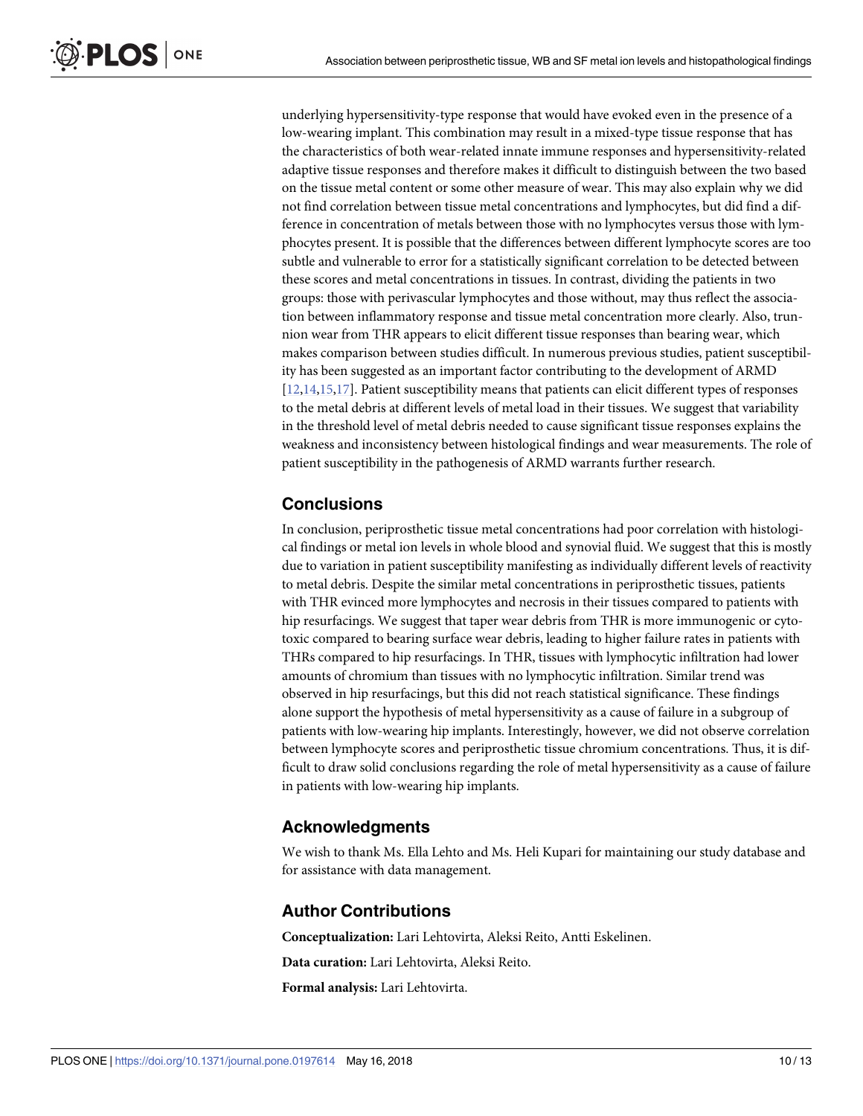<span id="page-9-0"></span>underlying hypersensitivity-type response that would have evoked even in the presence of a low-wearing implant. This combination may result in a mixed-type tissue response that has the characteristics of both wear-related innate immune responses and hypersensitivity-related adaptive tissue responses and therefore makes it difficult to distinguish between the two based on the tissue metal content or some other measure of wear. This may also explain why we did not find correlation between tissue metal concentrations and lymphocytes, but did find a difference in concentration of metals between those with no lymphocytes versus those with lymphocytes present. It is possible that the differences between different lymphocyte scores are too subtle and vulnerable to error for a statistically significant correlation to be detected between these scores and metal concentrations in tissues. In contrast, dividing the patients in two groups: those with perivascular lymphocytes and those without, may thus reflect the association between inflammatory response and tissue metal concentration more clearly. Also, trunnion wear from THR appears to elicit different tissue responses than bearing wear, which makes comparison between studies difficult. In numerous previous studies, patient susceptibility has been suggested as an important factor contributing to the development of ARMD [\[12](#page-10-0)[,14,15](#page-11-0),[17](#page-11-0)]. Patient susceptibility means that patients can elicit different types of responses to the metal debris at different levels of metal load in their tissues. We suggest that variability in the threshold level of metal debris needed to cause significant tissue responses explains the weakness and inconsistency between histological findings and wear measurements. The role of patient susceptibility in the pathogenesis of ARMD warrants further research.

## **Conclusions**

In conclusion, periprosthetic tissue metal concentrations had poor correlation with histological findings or metal ion levels in whole blood and synovial fluid. We suggest that this is mostly due to variation in patient susceptibility manifesting as individually different levels of reactivity to metal debris. Despite the similar metal concentrations in periprosthetic tissues, patients with THR evinced more lymphocytes and necrosis in their tissues compared to patients with hip resurfacings. We suggest that taper wear debris from THR is more immunogenic or cytotoxic compared to bearing surface wear debris, leading to higher failure rates in patients with THRs compared to hip resurfacings. In THR, tissues with lymphocytic infiltration had lower amounts of chromium than tissues with no lymphocytic infiltration. Similar trend was observed in hip resurfacings, but this did not reach statistical significance. These findings alone support the hypothesis of metal hypersensitivity as a cause of failure in a subgroup of patients with low-wearing hip implants. Interestingly, however, we did not observe correlation between lymphocyte scores and periprosthetic tissue chromium concentrations. Thus, it is difficult to draw solid conclusions regarding the role of metal hypersensitivity as a cause of failure in patients with low-wearing hip implants.

### **Acknowledgments**

We wish to thank Ms. Ella Lehto and Ms. Heli Kupari for maintaining our study database and for assistance with data management.

#### **Author Contributions**

**Conceptualization:** Lari Lehtovirta, Aleksi Reito, Antti Eskelinen.

**Data curation:** Lari Lehtovirta, Aleksi Reito.

**Formal analysis:** Lari Lehtovirta.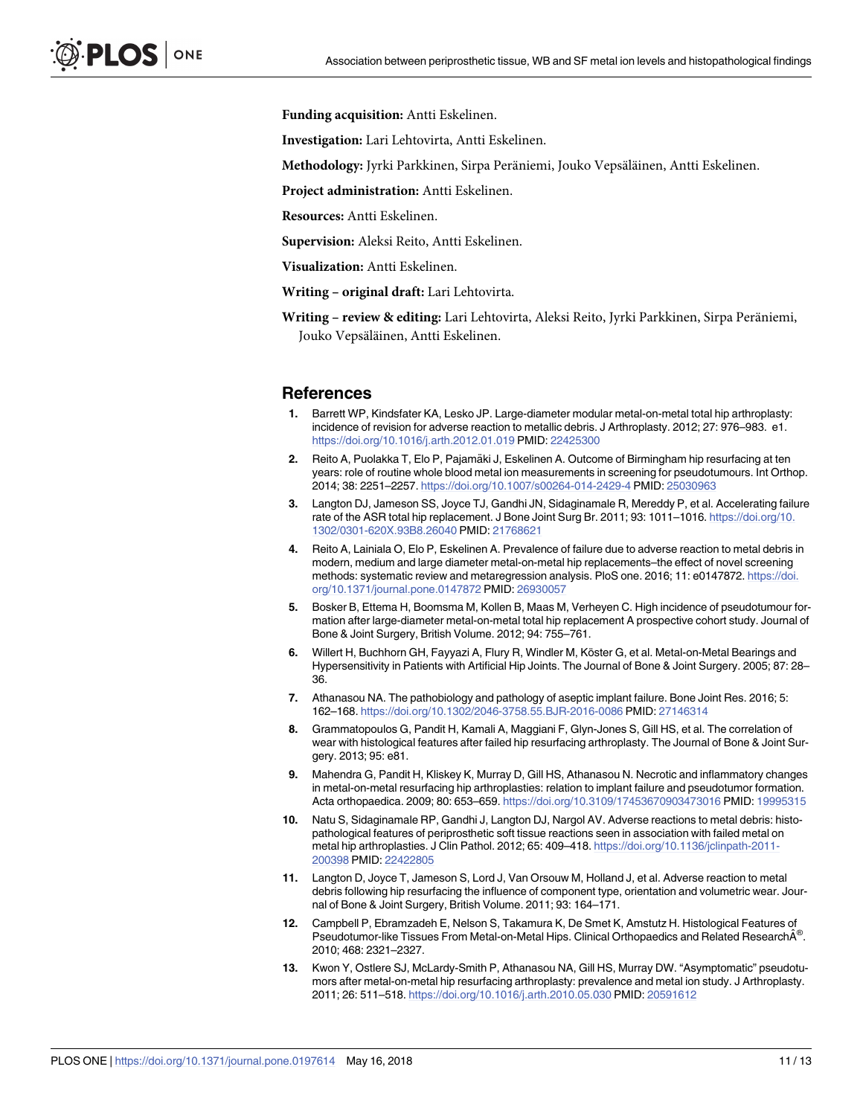<span id="page-10-0"></span>**Funding acquisition:** Antti Eskelinen.

**Investigation:** Lari Lehtovirta, Antti Eskelinen.

**Methodology:** Jyrki Parkkinen, Sirpa Peräniemi, Jouko Vepsäläinen, Antti Eskelinen.

**Project administration:** Antti Eskelinen.

**Resources:** Antti Eskelinen.

**Supervision:** Aleksi Reito, Antti Eskelinen.

**Visualization:** Antti Eskelinen.

**Writing – original draft:** Lari Lehtovirta.

**Writing** - review & editing: Lari Lehtovirta, Aleksi Reito, Jyrki Parkkinen, Sirpa Peräniemi, Jouko Vepsäläinen, Antti Eskelinen.

#### **References**

- **[1](#page-0-0).** Barrett WP, Kindsfater KA, Lesko JP. Large-diameter modular metal-on-metal total hip arthroplasty: incidence of revision for adverse reaction to metallic debris. J Arthroplasty. 2012; 27: 976–983. e1. <https://doi.org/10.1016/j.arth.2012.01.019> PMID: [22425300](http://www.ncbi.nlm.nih.gov/pubmed/22425300)
- **[2](#page-2-0).** Reito A, Puolakka T, Elo P, Pajamäki J, Eskelinen A. Outcome of Birmingham hip resurfacing at ten years: role of routine whole blood metal ion measurements in screening for pseudotumours. Int Orthop. 2014; 38: 2251–2257. <https://doi.org/10.1007/s00264-014-2429-4> PMID: [25030963](http://www.ncbi.nlm.nih.gov/pubmed/25030963)
- **[3](#page-1-0).** Langton DJ, Jameson SS, Joyce TJ, Gandhi JN, Sidaginamale R, Mereddy P, et al. Accelerating failure rate of the ASR total hip replacement. J Bone Joint Surg Br. 2011; 93: 1011–1016. [https://doi.org/10.](https://doi.org/10.1302/0301-620X.93B8.26040) [1302/0301-620X.93B8.26040](https://doi.org/10.1302/0301-620X.93B8.26040) PMID: [21768621](http://www.ncbi.nlm.nih.gov/pubmed/21768621)
- **4.** Reito A, Lainiala O, Elo P, Eskelinen A. Prevalence of failure due to adverse reaction to metal debris in modern, medium and large diameter metal-on-metal hip replacements–the effect of novel screening methods: systematic review and metaregression analysis. PloS one. 2016; 11: e0147872. [https://doi.](https://doi.org/10.1371/journal.pone.0147872) [org/10.1371/journal.pone.0147872](https://doi.org/10.1371/journal.pone.0147872) PMID: [26930057](http://www.ncbi.nlm.nih.gov/pubmed/26930057)
- **[5](#page-0-0).** Bosker B, Ettema H, Boomsma M, Kollen B, Maas M, Verheyen C. High incidence of pseudotumour formation after large-diameter metal-on-metal total hip replacement A prospective cohort study. Journal of Bone & Joint Surgery, British Volume. 2012; 94: 755–761.
- **[6](#page-1-0).** Willert H, Buchhorn GH, Fayyazi A, Flury R, Windler M, Köster G, et al. Metal-on-Metal Bearings and Hypersensitivity in Patients with Artificial Hip Joints. The Journal of Bone & Joint Surgery. 2005; 87: 28– 36.
- **[7](#page-1-0).** Athanasou NA. The pathobiology and pathology of aseptic implant failure. Bone Joint Res. 2016; 5: 162–168. <https://doi.org/10.1302/2046-3758.55.BJR-2016-0086> PMID: [27146314](http://www.ncbi.nlm.nih.gov/pubmed/27146314)
- **[8](#page-1-0).** Grammatopoulos G, Pandit H, Kamali A, Maggiani F, Glyn-Jones S, Gill HS, et al. The correlation of wear with histological features after failed hip resurfacing arthroplasty. The Journal of Bone & Joint Surgery. 2013; 95: e81.
- **[9](#page-1-0).** Mahendra G, Pandit H, Kliskey K, Murray D, Gill HS, Athanasou N. Necrotic and inflammatory changes in metal-on-metal resurfacing hip arthroplasties: relation to implant failure and pseudotumor formation. Acta orthopaedica. 2009; 80: 653–659. <https://doi.org/10.3109/17453670903473016> PMID: [19995315](http://www.ncbi.nlm.nih.gov/pubmed/19995315)
- **[10](#page-1-0).** Natu S, Sidaginamale RP, Gandhi J, Langton DJ, Nargol AV. Adverse reactions to metal debris: histopathological features of periprosthetic soft tissue reactions seen in association with failed metal on metal hip arthroplasties. J Clin Pathol. 2012; 65: 409–418. [https://doi.org/10.1136/jclinpath-2011-](https://doi.org/10.1136/jclinpath-2011-200398) [200398](https://doi.org/10.1136/jclinpath-2011-200398) PMID: [22422805](http://www.ncbi.nlm.nih.gov/pubmed/22422805)
- **[11](#page-1-0).** Langton D, Joyce T, Jameson S, Lord J, Van Orsouw M, Holland J, et al. Adverse reaction to metal debris following hip resurfacing the influence of component type, orientation and volumetric wear. Journal of Bone & Joint Surgery, British Volume. 2011; 93: 164–171.
- **[12](#page-1-0).** Campbell P, Ebramzadeh E, Nelson S, Takamura K, De Smet K, Amstutz H. Histological Features of Pseudotumor-like Tissues From Metal-on-Metal Hips. Clinical Orthopaedics and Related ResearchÂ<sup>®</sup>. 2010; 468: 2321–2327.
- **13.** Kwon Y, Ostlere SJ, McLardy-Smith P, Athanasou NA, Gill HS, Murray DW. "Asymptomatic" pseudotumors after metal-on-metal hip resurfacing arthroplasty: prevalence and metal ion study. J Arthroplasty. 2011; 26: 511–518. <https://doi.org/10.1016/j.arth.2010.05.030> PMID: [20591612](http://www.ncbi.nlm.nih.gov/pubmed/20591612)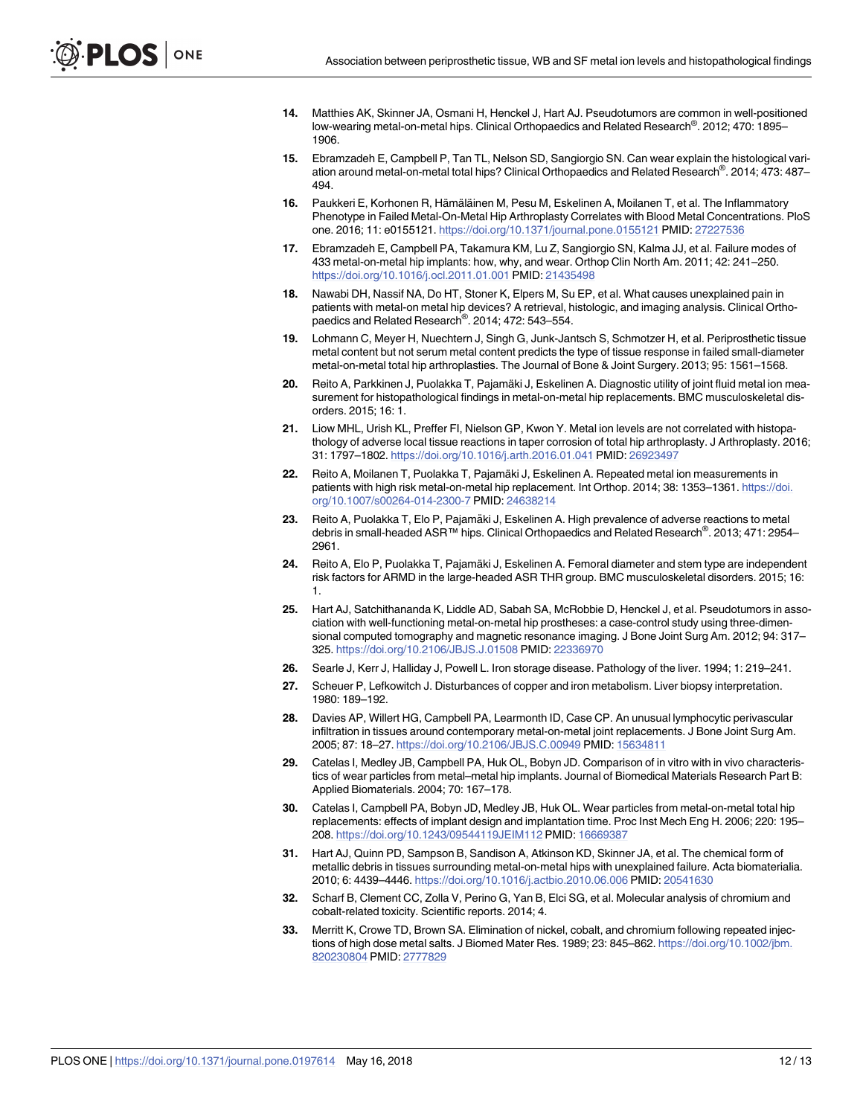- <span id="page-11-0"></span>**[14](#page-9-0).** Matthies AK, Skinner JA, Osmani H, Henckel J, Hart AJ. Pseudotumors are common in well-positioned low-wearing metal-on-metal hips. Clinical Orthopaedics and Related Research®. 2012; 470: 1895– 1906.
- **[15](#page-1-0).** Ebramzadeh E, Campbell P, Tan TL, Nelson SD, Sangiorgio SN. Can wear explain the histological variation around metal-on-metal total hips? Clinical Orthopaedics and Related Research®. 2014; 473: 487– 494.
- **[16](#page-1-0).** Paukkeri E, Korhonen R, Hämäläinen M, Pesu M, Eskelinen A, Moilanen T, et al. The Inflammatory Phenotype in Failed Metal-On-Metal Hip Arthroplasty Correlates with Blood Metal Concentrations. PloS one. 2016; 11: e0155121. <https://doi.org/10.1371/journal.pone.0155121> PMID: [27227536](http://www.ncbi.nlm.nih.gov/pubmed/27227536)
- **[17](#page-9-0).** Ebramzadeh E, Campbell PA, Takamura KM, Lu Z, Sangiorgio SN, Kalma JJ, et al. Failure modes of 433 metal-on-metal hip implants: how, why, and wear. Orthop Clin North Am. 2011; 42: 241–250. <https://doi.org/10.1016/j.ocl.2011.01.001> PMID: [21435498](http://www.ncbi.nlm.nih.gov/pubmed/21435498)
- **[18](#page-1-0).** Nawabi DH, Nassif NA, Do HT, Stoner K, Elpers M, Su EP, et al. What causes unexplained pain in patients with metal-on metal hip devices? A retrieval, histologic, and imaging analysis. Clinical Orthopaedics and Related Research®. 2014; 472: 543–554.
- **[19](#page-1-0).** Lohmann C, Meyer H, Nuechtern J, Singh G, Junk-Jantsch S, Schmotzer H, et al. Periprosthetic tissue metal content but not serum metal content predicts the type of tissue response in failed small-diameter metal-on-metal total hip arthroplasties. The Journal of Bone & Joint Surgery. 2013; 95: 1561–1568.
- **20.** Reito A, Parkkinen J, Puolakka T, Pajamäki J, Eskelinen A. Diagnostic utility of joint fluid metal ion measurement for histopathological findings in metal-on-metal hip replacements. BMC musculoskeletal disorders. 2015; 16: 1.
- **[21](#page-1-0).** Liow MHL, Urish KL, Preffer FI, Nielson GP, Kwon Y. Metal ion levels are not correlated with histopathology of adverse local tissue reactions in taper corrosion of total hip arthroplasty. J Arthroplasty. 2016; 31: 1797–1802. <https://doi.org/10.1016/j.arth.2016.01.041> PMID: [26923497](http://www.ncbi.nlm.nih.gov/pubmed/26923497)
- **[22](#page-2-0).** Reito A, Moilanen T, Puolakka T, Pajamäki J, Eskelinen A. Repeated metal ion measurements in patients with high risk metal-on-metal hip replacement. Int Orthop. 2014; 38: 1353–1361. [https://doi.](https://doi.org/10.1007/s00264-014-2300-7) [org/10.1007/s00264-014-2300-7](https://doi.org/10.1007/s00264-014-2300-7) PMID: [24638214](http://www.ncbi.nlm.nih.gov/pubmed/24638214)
- **23.** Reito A, Puolakka T, Elo P, Pajamäki J, Eskelinen A. High prevalence of adverse reactions to metal debris in small-headed ASR™ hips. Clinical Orthopaedics and Related Research®. 2013; 471: 2954– 2961.
- **[24](#page-2-0).** Reito A, Elo P, Puolakka T, Pajamäki J, Eskelinen A. Femoral diameter and stem type are independent risk factors for ARMD in the large-headed ASR THR group. BMC musculoskeletal disorders. 2015; 16: 1.
- **[25](#page-2-0).** Hart AJ, Satchithananda K, Liddle AD, Sabah SA, McRobbie D, Henckel J, et al. Pseudotumors in association with well-functioning metal-on-metal hip prostheses: a case-control study using three-dimensional computed tomography and magnetic resonance imaging. J Bone Joint Surg Am. 2012; 94: 317– 325. <https://doi.org/10.2106/JBJS.J.01508> PMID: [22336970](http://www.ncbi.nlm.nih.gov/pubmed/22336970)
- **[26](#page-3-0).** Searle J, Kerr J, Halliday J, Powell L. Iron storage disease. Pathology of the liver. 1994; 1: 219–241.
- **[27](#page-3-0).** Scheuer P, Lefkowitch J. Disturbances of copper and iron metabolism. Liver biopsy interpretation. 1980: 189–192.
- **[28](#page-3-0).** Davies AP, Willert HG, Campbell PA, Learmonth ID, Case CP. An unusual lymphocytic perivascular infiltration in tissues around contemporary metal-on-metal joint replacements. J Bone Joint Surg Am. 2005; 87: 18–27. <https://doi.org/10.2106/JBJS.C.00949> PMID: [15634811](http://www.ncbi.nlm.nih.gov/pubmed/15634811)
- **[29](#page-7-0).** Catelas I, Medley JB, Campbell PA, Huk OL, Bobyn JD. Comparison of in vitro with in vivo characteristics of wear particles from metal–metal hip implants. Journal of Biomedical Materials Research Part B: Applied Biomaterials. 2004; 70: 167–178.
- **30.** Catelas I, Campbell PA, Bobyn JD, Medley JB, Huk OL. Wear particles from metal-on-metal total hip replacements: effects of implant design and implantation time. Proc Inst Mech Eng H. 2006; 220: 195– 208. <https://doi.org/10.1243/09544119JEIM112> PMID: [16669387](http://www.ncbi.nlm.nih.gov/pubmed/16669387)
- **31.** Hart AJ, Quinn PD, Sampson B, Sandison A, Atkinson KD, Skinner JA, et al. The chemical form of metallic debris in tissues surrounding metal-on-metal hips with unexplained failure. Acta biomaterialia. 2010; 6: 4439–4446. <https://doi.org/10.1016/j.actbio.2010.06.006> PMID: [20541630](http://www.ncbi.nlm.nih.gov/pubmed/20541630)
- **[32](#page-7-0).** Scharf B, Clement CC, Zolla V, Perino G, Yan B, Elci SG, et al. Molecular analysis of chromium and cobalt-related toxicity. Scientific reports. 2014; 4.
- **[33](#page-7-0).** Merritt K, Crowe TD, Brown SA. Elimination of nickel, cobalt, and chromium following repeated injections of high dose metal salts. J Biomed Mater Res. 1989; 23: 845–862. [https://doi.org/10.1002/jbm.](https://doi.org/10.1002/jbm.820230804) [820230804](https://doi.org/10.1002/jbm.820230804) PMID: [2777829](http://www.ncbi.nlm.nih.gov/pubmed/2777829)